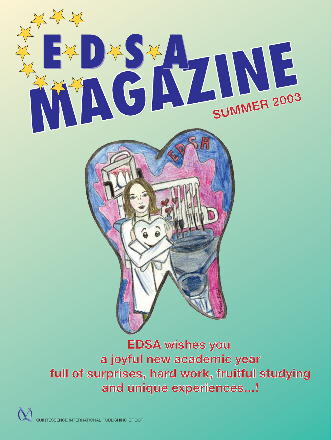

**full of surprises, hard work, fruitful studying and unique experiences...! SUMMER 2003** 

**EDSA wishes you a joyful new academic year full of surprises, hard work, fruitful studying and unique experiences...!**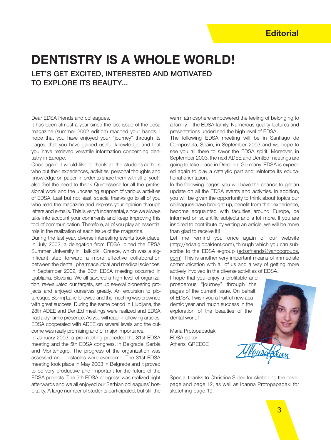# **DENTISTRY IS A WHOLE WORLD!**

**LET'S GET EXCITED, INTERESTED AND MOTIVATED TO EXPLORE ITS BEAUTY…**

#### Dear EDSA friends and colleagues,

It has been almost a year since the last issue of the edsa magazine (summer 2002 edition) reached your hands. I hope that you have enjoyed your "journey" through its pages, that you have gained useful knowledge and that you have retrieved versatile information concerning dentistry in Europe.

Once again, I would like to thank all the students-authors who put their experiences, activities, personal thoughts and knowledge on paper, in order to share them with all of you! I also feel the need to thank Quintessenz for all the professional work and the unceasing support of various activities of EDSA. Last but not least, special thanks go to all of you who read the magazine and express your opinion through letters and e-mails. This is very fundamental, since we always take into account your comments and keep improving this tool of communication. Therefore, all of you play an essential role in the realization of each issue of the magazine.

During the last year, diverse interesting events took place. In July 2002, a delegation from EDSA joined the EPSA Summer University in Halkidiki, Greece, which was a significant step forward a more effective collaboration between the dental, pharmaceutical and medical sciences. In September 2002, the 30th EDSA meeting occurred in Ljubljana, Slovenia. We all savored a high level of organization, re-evaluated our targets, set up several pioneering projects and enjoyed ourselves greatly. An excursion to picturesque Bohinj Lake followed and the meeting was crowned with great success. During the same period in Ljubljana, the 28th ADEE and DentEd meetings were realized and EDSA had a dynamic presence. As you will read in following articles, EDSA cooperated with ADEE on several levels and the outcome was really promising and of major importance.

In January 2003, a pre-meeting preceded the 31st EDSA meeting and the 5th EDSA congress, in Belgrade, Serbia and Montenegro. The progress of the organization was assessed and obstacles were overcome. The 31st EDSA meeting took place in May 2003 in Belgrade and it proved to be very productive and important for the future of the EDSA projects. The 5th EDSA congress was realized right afterwards and we all enjoyed our Serbian colleagues' hospitality. A large number of students participated, but still the warm atmosphere empowered the feeling of belonging to a family – the EDSA family. Numerous quality lectures and presentations underlined the high level of EDSA.

The following EDSA meeting will be in Santiago de Compostela, Spain, in September 2003 and we hope to see you all there to savor the EDSA spirit. Moreover, in September 2003, the next ADEE and DentEd meetings are going to take place in Dresden, Germany. EDSA is expected again to play a catalytic part and reinforce its educational orientation.

In the following pages, you will have the chance to get an update on all the EDSA events and activities. In addition, you will be given the opportunity to think about topics our colleagues have brought up, benefit from their experience, become acquainted with faculties around Europe, be informed on scientific subjects and a lot more. If you are inspired to contribute by writing an article, we will be more than glad to receive it!!

Let me remind you once again of our website (http://edsa.globaldent.com), through which you can subscribe to the EDSA e-group (edsafriends@yahoogroups. com). This is another very important means of immediate communication with all of us and a way of getting more actively involved in the diverse activities of EDSA.

I hope that you enjoy a profitable and prosperous "journey" through the pages of the current issue. On behalf of EDSA, I wish you a fruitful new academic year and much success in the exploration of the beauties of the dental world!

Maria Protopapadaki EDSA editor Athens, GREECE

Special thanks to Christina Sideri for sketching the cover page and page 12, as well as Ioanna Protopapadaki for sketching page 19.

Curotoxun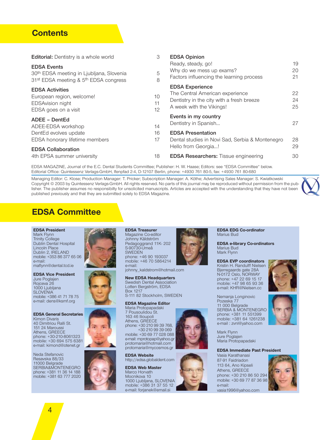### **Contents**

| Editorial: Dentistry is a whole world                                                                                           | 3              | <b>EDSA Opinion</b>                                                                                                                |                |
|---------------------------------------------------------------------------------------------------------------------------------|----------------|------------------------------------------------------------------------------------------------------------------------------------|----------------|
| <b>EDSA Events</b><br>30th EDSA meeting in Ljubljana, Slovenia<br>31 <sup>st</sup> EDSA meeting & 5 <sup>th</sup> EDSA congress | 5<br>8         | Ready, steady, go!<br>Why do we mess up exams?<br>Factors influencing the learning process                                         | 19<br>20<br>21 |
| <b>EDSA Activities</b><br>European region, welcome!<br><b>EDSAvision night</b><br>EDSA goes on a visit                          | 10<br>11<br>12 | <b>EDSA Experience</b><br>The Central American experience<br>Dentistry in the city with a fresh breeze<br>A week with the Vikings! | 22<br>24<br>25 |
| ADEE - DentEd<br>ADEE-EDSA workshop<br>DentEd evolves update                                                                    | 14<br>16       | Events in my country<br>Dentistry in Spanish<br><b>EDSA Presentation</b>                                                           | 27             |
| EDSA honorary lifetime members<br><b>EDSA Collaboration</b>                                                                     | 17             | Dental studies in Novi Sad, Serbia & Montenegro<br>Hello from Georgia!                                                             | 28<br>29       |
| 4th EPSA summer university                                                                                                      | 18             | <b>EDSA Researchers:</b> Tissue engineering                                                                                        | 30             |

EDSA MAGAZINE, Journal of the E.C. Dental Students Committee; Publisher: H. W. Haase; Editors: see "EDSA Committee" below. Editorial Office: Quintessenz Verlags-GmbH, Ifenpfad 2-4, D-12107 Berlin, phone: +4930 761 80-5, fax: +4930 761 80-680

Managing Editor: C. Klose; Production Manager: T. Pricker; Subscription Manager: A. Köthe; Advertising Sales Manager: S. Kwiatkowski Copyright © 2003 by Quintessenz Verlags-GmbH. All rights reserved. No parts of this journal may be reproduced without permission from the publisher. The publisher assumes no responsibilty for unsolicited manuscripts. Articles are accepted with the understanding that they have not been published previously and that they are submitted solely to EDSA Magazine.

# **EDSA Committee**

#### **EDSA President**

Mark Flynn Trinity College Dublin Dental Hospital Lincoln Place Dublin 2, IRELAND mobile: +353 86 377 65 06 e-mail: maflynn@dental.tcd.ie

**EDSA Vice President** Jure Poglajen Rojceva 26 1000 Ljubljana SLOVENIA<sup>T</sup> mobile: +386 41 71 78 75 e-mail: dens@ksmf.org

#### **EDSA General Secretaries** Kimon Divaris 40 Dimitriou Ralli St. 151 24 Maroussi Athens, GREECE phone: +30-210-8061323 mobile: +30 694 575 6381 e-mail: kimond@otenet.gr

Neda Stefanovic Resavska 88/33 11000 Belgrade SERBIA&MONTENEGRO phone: +381 11 36 14 188 mobile: +381 63 777 2020











e-mail: johnny\_kaldstrom@hotmail.com

**New EDSA Headquarters** Swedish Dental Association Lotten Bergström, EDSA Box 1217 S-111 82 Stockholm, SWEDEN

#### **EDSA Magazine Editor**

Maria Protopapadaki 7 Pousoulidou St. 163 46 Ilioupoli Athens, GREECE phone: +30 210 99 39 768, +30 210 99 39 069 mobile: +30 69 77 028 088 e-mail: mprotopap@yahoo.gr protomaria@hotmail.com protomaria@mycosmos.gr

**EDSA Website** http://edsa.globaldent.com

**EDSA Web Master** Marco Horvath Mocnikova 10 1000 Ljubljana, SLOVENIA mobile: +386 31 37 55 12 e-mail: forjanek@email.si





**EDSA EDG Co-ordinator** Marius Bud

**EDSA e-library Co-ordinators** Marius Bud Mark Flynn

**EDSA EVP coordinators** Kristin H. Randulff Nielsen Bjerregaards gate 28A N-0172 Oslo, NORWAY phone: +47 22 69 15 17 mobile: +47 98 65 93 36 e-mail: KHR@Nielsen.cc



Nemanja Longinovic Pozeska 77 11 000 Belgrade SERBIA & MONTENEGRO phone: +381 11 551399 mobile: +381 64 1261238 e-mail : zvnl@yahoo.com

Mark Flynn Jure Poglajen Maria Protopapadaki

#### **EDSA Immediate Past President**

Vasia Karathanasi 87-91 Faidriadon 113 64, Ano Kipseli Athens, GREECE phone: +30 210 86 50 294 mobile: +30 69 77 87 36 98 e-mail: vasia1996@yahoo.com



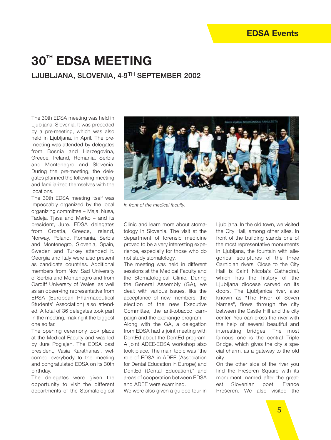# **30TH EDSA MEETING**

**LJUBLJANA, SLOVENIA, 4-9TH SEPTEMBER 2002**

The 30th EDSA meeting was held in Ljubljana, Slovenia. It was preceded by a pre-meeting, which was also held in Ljubljana, in April. The premeeting was attended by delegates from Bosnia and Herzegovina, Greece, Ireland, Romania, Serbia and Montenegro and Slovenia. During the pre-meeting, the delegates planned the following meeting and familiarized themselves with the locations.

The 30th EDSA meeting itself was impeccably organized by the local organizing committee – Maja, Nusa, Tadeja, Tjasa and Marko – and its president, Jure. EDSA delegates from Croatia, Greece, Ireland, Norway, Poland, Romania, Serbia and Montenegro, Slovenia, Spain, Sweden and Turkey attended it. Georgia and Italy were also present as candidate countries. Additional members from Novi Sad University of Serbia and Montenegro and from Cardiff University of Wales, as well as an observing representative from EPSA (European Pharmaceutical Students' Association) also attended. A total of 36 delegates took part in the meeting, making it the biggest one so far.

The opening ceremony took place at the Medical Faculty and was led by Jure Poglajen. The EDSA past president, Vasia Karathanasi, welcomed everybody to the meeting and congratulated EDSA on its 30th birthday.

The delegates were given the opportunity to visit the different departments of the Stomatological



*In front of the medical faculty.*

Clinic and learn more about stomatology in Slovenia. The visit at the department of forensic medicine proved to be a very interesting experience, especially for those who do not study stomatology.

The meeting was held in different sessions at the Medical Faculty and the Stomatological Clinic. During the General Assembly (GA), we dealt with various issues, like the acceptance of new members, the election of the new Executive Committee, the anti-tobacco campaign and the exchange program.

Along with the GA, a delegation from EDSA had a joint meeting with DentEd about the DentEd program. A joint ADEE-EDSA workshop also took place. The main topic was "the role of EDSA in ADEE (Association for Dental Education in Europe) and DentEd (Dental Education)," and areas of cooperation between EDSA and ADEE were examined.

We were also given a guided tour in

Ljubljana. In the old town, we visited the City Hall, among other sites. In front of the building stands one of the most representative monuments in Ljubljana, the fountain with allegorical sculptures of the three Carniolan rivers. Close to the City Hall is Saint Nicola's Cathedral, which has the history of the Ljubljana diocese carved on its doors. The Ljubljanica river, also known as "The River of Seven Names", flows through the city between the Castle Hill and the city center. You can cross the river with the help of several beautiful and interesting bridges. The most famous one is the central Triple Bridge, which gives the city a special charm, as a gateway to the old city.

On the other side of the river you find the Prešeren Square with its monument, named after the greatest Slovenian poet, France Prešeren. We also visited the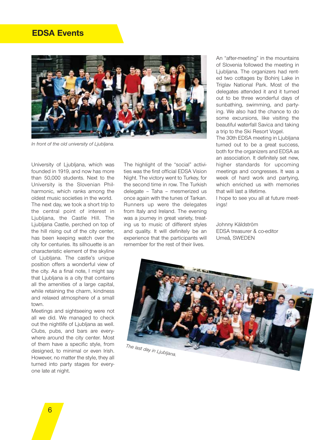### **EDSA Events**



*In front of the old university of Ljubljana.*

University of Ljubljana, which was founded in 1919, and now has more than 50,000 students. Next to the University is the Slovenian Philharmonic, which ranks among the oldest music societies in the world. The next day, we took a short trip to the central point of interest in Ljubljana, the Castle Hill. The Ljubljana Castle, perched on top of the hill rising out of the city center, has been keeping watch over the city for centuries. Its silhouette is an characteristic element of the skyline of Ljubljana. The castle's unique position offers a wonderful view of the city. As a final note, I might say that Ljubljana is a city that contains all the amenities of a large capital, while retaining the charm, kindness and relaxed atmosphere of a small town.

Meetings and sightseeing were not all we did. We managed to check out the nightlife of Ljubljana as well. Clubs, pubs, and bars are everywhere around the city center. Most of them have a specific style, from designed, to minimal or even Irish. However, no matter the style, they all turned into party stages for everyone late at night.

The highlight of the "social" activities was the first official EDSA Vision Night. The victory went to Turkey, for the second time in row. The Turkish delegate – Taha – mesmerized us once again with the tunes of Tarkan. Runners up were the delegates from Italy and Ireland. The evening was a journey in great variety, treating us to music of different styles and quality. It will definitely be an experience that the participants will remember for the rest of their lives.

An "after-meeting" in the mountains of Slovenia followed the meeting in Ljubljana. The organizers had rented two cottages by Bohinj Lake in Triglav National Park. Most of the delegates attended it and it turned out to be three wonderful days of sunbathing, swimming, and partying. We also had the chance to do some excursions, like visiting the beautiful waterfall Savica and taking a trip to the Ski Resort Vogel.

The 30th EDSA meeting in Ljubljana turned out to be a great success, both for the organizers and EDSA as an association. It definitely set new, higher standards for upcoming meetings and congresses. It was a week of hard work and partying, which enriched us with memories that will last a lifetime.

I hope to see you all at future meetings!

Johnny Käldström EDSA treasurer & co-editor Umeå, SWEDEN

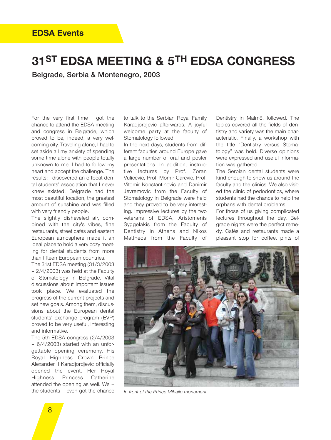# **31ST EDSA MEETING & 5TH EDSA CONGRESS**

**Belgrade, Serbia & Montenegro, 2003**

For the very first time I got the chance to attend the EDSA meeting and congress in Belgrade, which proved to be, indeed, a very welcoming city. Traveling alone, I had to set aside all my anxiety of spending some time alone with people totally unknown to me. I had to follow my heart and accept the challenge. The results: I discovered an offbeat dental students' association that I never knew existed! Belgrade had the most beautiful location, the greatest amount of sunshine and was filled with very friendly people.

The slightly disheveled air, combined with the city's vibes, fine restaurants, street cafés and eastern European atmosphere made it an ideal place to hold a very cozy meeting for dental students from more than fifteen European countries.

The 31st EDSA meeting (31/3/2003 – 2/4/2003) was held at the Faculty of Stomatology in Belgrade. Vital discussions about important issues took place. We evaluated the progress of the current projects and set new goals. Among them, discussions about the European dental students' exchange program (EVP) proved to be very useful, interesting and informative.

The 5th EDSA congress (2/4/2003 – 6/4/2003) started with an unforgettable opening ceremony. His Royal Highness Crown Prince Alexander II Karadjordjevic officially opened the event. Her Royal Highness Princess Catherine attended the opening as well. We – the students – even got the chance to talk to the Serbian Royal Family Karadjordjevic afterwards. A joyful welcome party at the faculty of Stomatology followed.

In the next days, students from different faculties around Europe gave a large number of oral and poster presentations. In addition, instructive lectures by Prof. Zoran Vulicevic, Prof. Momir Carevic, Prof. Vitomir Konstantinovic and Danimir Jevremovic from the Faculty of Stomatology in Belgrade were held and they proved to be very interesting. Impressive lectures by the two veterans of EDSA, Aristomenis Syggelakis from the Faculty of Dentistry in Athens and Nikos Mattheos from the Faculty of

Dentistry in Malmö, followed. The topics covered all the fields of dentistry and variety was the main characteristic. Finally, a workshop with the title "Dentistry versus Stomatology" was held. Diverse opinions were expressed and useful information was gathered.

The Serbian dental students were kind enough to show us around the faculty and the clinics. We also visited the clinic of pedodontics, where students had the chance to help the orphans with dental problems.

For those of us giving complicated lectures throughout the day, Belgrade nights were the perfect remedy. Cafés and restaurants made a pleasant stop for coffee, pints of



*In front of the Prince Mihailo monument.*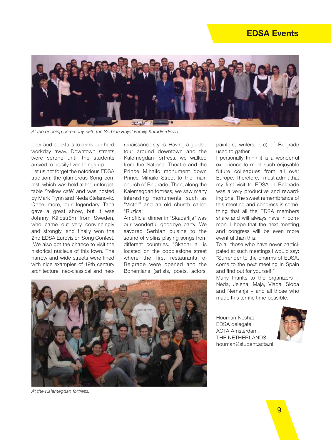### **EDSA Events**



*At the opening ceremony, with the Serbian Royal Family Karadjordjevic.*

beer and cocktails to drink our hard workday away. Downtown streets were serene until the students arrived to noisily liven things up.

Let us not forget the notorious EDSA tradition: the glamorous Song contest, which was held at the unforgettable 'Yellow café' and was hosted by Mark Flynn and Neda Stefanovic. Once more, our legendary Taha gave a great show, but it was Johnny Käldström from Sweden, who came out very convincingly and strongly, and finally won the 2nd EDSA Eurovision Song Contest. We also got the chance to visit the historical nucleus of this town. The narrow and wide streets were lined with nice examples of 19th century architecture, neo-classical and neorenaissance styles. Having a guided tour around downtown and the Kalemegdan fortress, we walked from the National Theatre and the Prince Mihailo monument down Prince Mihailo Street to the main church of Belgrade. Then, along the Kalemegdan fortress, we saw many interesting monuments, such as "Victor" and an old church called "Ruzica".

An official dinner in "Skadarlija" was our wonderful goodbye party. We savored Serbian cuisine to the sound of violins playing songs from different countries. "Skadarlija" is located on the cobblestone street where the first restaurants of Belgrade were opened and the Bohemians (artists, poets, actors, painters, writers, etc) of Belgrade used to gather.

I personally think it is a wonderful experience to meet such enjoyable future colleagues from all over Europe. Therefore, I must admit that my first visit to EDSA in Belgrade was a very productive and rewarding one. The sweet remembrance of this meeting and congress is something that all the EDSA members share and will always have in common. I hope that the next meeting and congress will be even more eventful than this.

To all those who have never participated at such meetings I would say: "Surrender to the charms of EDSA, come to the next meeting in Spain and find out for yourself!"

Many thanks to the organizers – Neda, Jelena, Maja, Vlada, Sloba and Nemanja – and all those who made this terrific time possible.



*At the Kalemegdan fortress.*

Houman Neshat EDSA delegate ACTA Amsterdam, THE NETHERLANDS houman@student.acta.nl

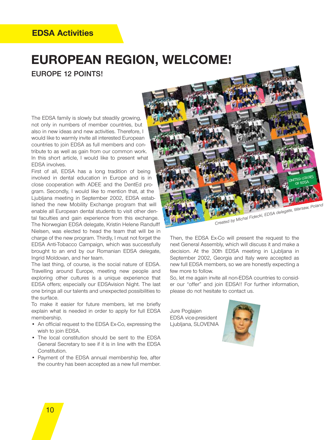### **EDSA Activities**

# **EUROPEAN REGION, WELCOME!**

**EUROPE 12 POINTS!**

The EDSA family is slowly but steadily growing, not only in numbers of member countries, but also in new ideas and new activities. Therefore, I would like to warmly invite all interested European countries to join EDSA as full members and contribute to as well as gain from our common work. In this short article, I would like to present what EDSA involves.

First of all, EDSA has a long tradition of being involved in dental education in Europe and is in close cooperation with ADEE and the DentEd program. Secondly, I would like to mention that, at the Ljubljana meeting in September 2002, EDSA established the new Mobility Exchange program that will enable all European dental students to visit other dental faculties and gain experience from this exchange. The Norwegian EDSA delegate, Kristin Helene Randulff Nielsen, was elected to head the team that will be in charge of the new program. Thirdly, I must not forget the EDSA Anti-Tobacco Campaign, which was successfully brought to an end by our Romanian EDSA delegate, Ingrid Moldovan, and her team.

The last thing, of course, is the social nature of EDSA. Travelling around Europe, meeting new people and exploring other cultures is a unique experience that EDSA offers; especially our EDSAvision Night. The last one brings all our talents and unexpected possibilities to the surface.

To make it easier for future members, let me briefly explain what is needed in order to apply for full EDSA membership.

- An official request to the EDSA Ex-Co, expressing the wish to join EDSA.
- The local constitution should be sent to the EDSA General Secretary to see if it is in line with the EDSA Constitution.
- Payment of the EDSA annual membership fee, after the country has been accepted as a new full member.



Then, the EDSA Ex-Co will present the request to the next General Assembly, which will discuss it and make a decision. At the 30th EDSA meeting in Ljubljana in September 2002, Georgia and Italy were accepted as new full EDSA members, so we are honestly expecting a few more to follow.

So, let me again invite all non-EDSA countries to consider our "offer" and join EDSA!! For further information, please do not hesitate to contact us.

Jure Poglajen EDSA vice-president Ljubljana, SLOVENIA

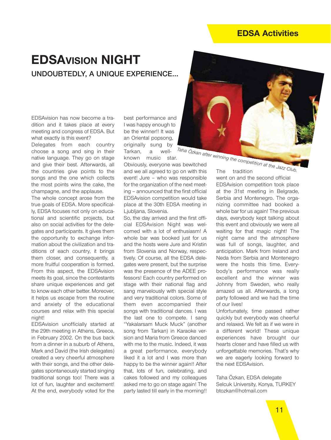### **EDSA Activities**

# **EDSAVISION NIGHT UNDOUBTEDLY, A UNIQUE EXPERIENCE…**

EDSAvision has now become a tradition and it takes place at every meeting and congress of EDSA. But what exactly is this event?

Delegates from each country choose a song and sing in their native language. They go on stage and give their best. Afterwards, all the countries give points to the songs and the one which collects the most points wins the cake, the champagne, and the applause.

The whole concept arose from the true goals of EDSA. More specifically, EDSA focuses not only on educational and scientific projects, but also on social activities for the delegates and participants. It gives them the opportunity to exchange information about the civilization and traditions of each country, it brings them closer, and consequently, a more fruitful cooperation is formed. From this aspect, the EDSAvision meets its goal, since the contestants share unique experiences and get to know each other better. Moreover, it helps us escape from the routine and anxiety of the educational courses and relax with this special night!

EDSAvision unofficially started at the 29th meeting in Athens, Greece, in February 2002. On the bus back from a dinner in a suburb of Athens, Mark and David (the Irish delegates) created a very cheerful atmosphere with their songs, and the other delegates spontaneously started singing traditional songs too! There was a lot of fun, laughter and excitement! At the end, everybody voted for the best performance and I was happy enough to be the winner!! It was an Oriental popsong, originally sung by Tarkan, a well-

known music star. Obviously, everyone was bewitched and we all agreed to go on with this event! Jure – who was responsible for the organization of the next meeting – announced that the first official EDSAvision competition would take place at the 30th EDSA meeting in Ljubljana, Slovenia.

So, the day arrived and the first official EDSAvision Night was welcomed with a lot of enthusiasm! A whole bar was booked just for us and the hosts were Jure and Kristin from Slovenia and Norway, respectively. Of course, all the EDSA delegates were present, but the surprise was the presence of the ADEE professors! Each country performed on stage with their national flag and sang marvelously with special style and very traditional colors. Some of them even accompanied their songs with traditional dances. I was the last one to compete. I sang "Yakalarsam Muck Muck" (another song from Tarkan) in Karaoke version and Maria from Greece danced with me to the music. Indeed, it was a great performance, everybody liked it a lot and I was more than happy to be the winner again!! After that, lots of fun, celebrating, and cakes followed and my colleagues asked me to go on stage again! The party lasted till early in the morning!!



went on and the second official EDSAvision competition took place at the 31st meeting in Belgrade, Serbia and Montenegro. The organizing committee had booked a whole bar for us again! The previous days, everybody kept talking about this event and obviously we were all waiting for that magic night! The night came and the atmosphere was full of songs, laughter, and anticipation. Mark from Ireland and Neda from Serbia and Montenegro were the hosts this time. Everybody's performance was really excellent and the winner was Johnny from Sweden, who really amazed us all. Afterwards, a long party followed and we had the time of our lives!

Unfortunately, time passed rather quickly but everybody was cheerful and relaxed. We felt as if we were in a different world! These unique experiences have brought our hearts closer and have filled us with unforgettable memories. That's why we are eagerly looking forward to the next EDSAvision.

Taha Özkan, EDSA delegate Selcuk University, Konya, TURKEY btozkan@hotmail.com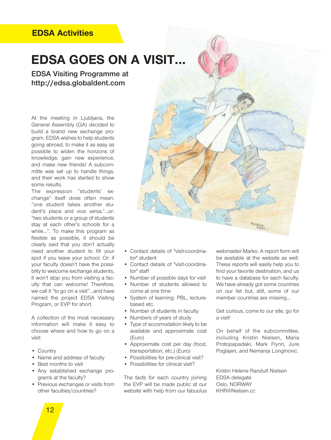### **EDSA Activities**

# **EDSA GOES ON A VISIT…**

**EDSA Visiting Programme at http://edsa.globaldent.com** 

At the meeting in Ljubljana, the General Assembly (GA) decided to build a brand new exchange program. EDSA wishes to help students going abroad, to make it as easy as possible to widen the horizons of knowledge, gain new experience, and make new friends! A subcommitte was set up to handle things, and their work has started to show some results.

The expression "students' exchange" itself does often mean: "one student takes another student's place and vice versa."…or: "two students or a group of students stay at each other's schools for a while…". To make this program as flexible as possible, it should be clearly said that you don't actually need another student to fill your spot if you leave your school. Or: if your faculty doesn't have the possiblity to welcome exchange students, it won't stop you from visiting a faculty that can welcome! Therefore, we call it "to go on a visit"…and have named the project EDSA Visiting Program, or EVP for short.

A collection of the most necessary information will make it easy to choose where and how to go on a visit:

- Country
- Name and address of faculty
- Best months to visit
- Any established exchange programs at the faculty?
- Previous exchanges or visits from other faculties/countries?
- Contact details of "visit-coordinator" student
- Contact details of "visit-coordinator" staff
- Number of possible days for visit
- Number of students allowed to come at one time
- System of learning: PBL, lecturebased etc.
- Number of students in faculty
- Numbers of years of study
- Type of accomodation likely to be available and approximate cost (Euro)
- Approximate cost per day (food, transportation, etc.) (Euro)
- Possibilities for pre-clinical visit?
- Possibilities for clinical visit?

The facts for each country joining the EVP will be made public at our website with help from our fabuolus

webmaster Marko. A report form will be available at the website as well. These reports will easily help you to find your favorite destination, and us to have a database for each faculty. We have already got some countries on our list but, still, some of our member countries are missing…

Get curious, come to our site, go for a visit!

On behalf of the subcommittee, including Kristin Nielsen, Maria Protopapadaki, Mark Flynn, Jure Poglajen, and Nemanja Longinovic.

Kristin Helene Randulf Nielsen EDSA delegate Oslo, NORWAY KHR@Nielsen.cc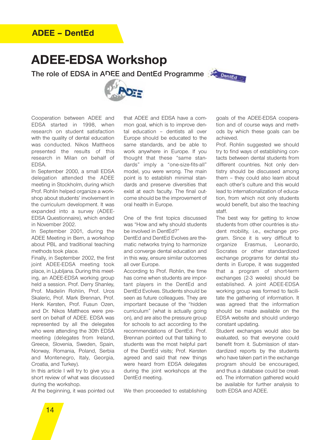### **ADEE – DentEd**

# **ADEE-EDSA Workshop**

The role of EDSA in ADEE and DentEd Programme



Cooperation between ADEE and EDSA started in 1998, when research on student satisfaction with the quality of dental education was conducted. Nikos Mattheos presented the results of this research in Milan on behalf of **EDSA** 

In September 2000, a small EDSA delegation attended the ADEE meeting in Stockholm, during which Prof. Rohlin helped organize a workshop about students' involvement in the curriculum development. It was expanded into a survey (ADEE-EDSA Questionnaire), which ended in November 2002.

In September 2001, during the ADEE Meeting in Bern, a workshop about PBL and traditional teaching methods took place.

Finally, in September 2002, the first joint ADEE-EDSA meeting took place, in Ljubljana. During this meeting, an ADEE-EDSA working group held a session. Prof. Derry Shanley, Prof. Madelin Rohlin, Prof. Uros Skaleric, Prof. Mark Brennan, Prof. Henk Kersten, Prof. Fusun Ozen, and Dr. Nikos Mattheos were present on behalf of ADEE. EDSA was represented by all the delegates who were attending the 30th EDSA meeting (delegates from Ireland, Greece, Slovenia, Sweden, Spain, Norway, Romania, Poland, Serbia and Montenegro, Italy, Georgia, Croatia, and Turkey).

In this article I will try to give you a short review of what was discussed during the workshop.

At the beginning, it was pointed out

that ADEE and EDSA have a common goal, which is to improve dental education – dentists all over Europe should be educated to the same standards, and be able to work anywhere in Europe. If you thought that these "same standards" imply a "one-size-fits-all" model, you were wrong. The main point is to establish minimal standards and preserve diversities that exist at each faculty. The final outcome should be the improvement of oral health in Europe.

One of the first topics discussed was "How and why should students be involved in DentEd?"

DentEd and DentEd Evolves are thematic networks trying to harmonize and converge dental education and in this way, ensure similar outcomes all over Europe.

According to Prof. Rohlin, the time has come when students are important players in the DentEd and DentEd Evolves. Students should be seen as future colleagues. They are important because of the "hidden curriculum" (what is actually going on), and are also the pressure group for schools to act according to the recommendations of DentEd. Prof. Brennan pointed out that talking to students was the most helpful part of the DentEd visits; Prof. Kersten agreed and said that new things were heard from EDSA delegates during the joint workshops at the DentEd meeting.

We then proceeded to establishing

goals of the ADEE-EDSA cooperation and of course ways and methods by which these goals can be achieved.

Prof. Rohlin suggested we should try to find ways of establishing contacts between dental students from different countries. Not only dentistry should be discussed among them – they could also learn about each other's culture and this would lead to internationalization of education, from which not only students would benefit, but also the teaching staff.

The best way for getting to know students from other countries is student mobility, i.e., exchange program. Since it is very difficult to organize Erasmus, Leonardo, Socrates or other standardized exchange programs for dental students in Europe, it was suggested that a program of short-term exchanges (2-3 weeks) should be established. A joint ADEE-EDSA working group was formed to facilitate the gathering of information. It was agreed that the information should be made available on the EDSA website and should undergo constant updating.

Student exchanges would also be evaluated, so that everyone could benefit from it. Submission of standardized reports by the students who have taken part in the exchange program should be encouraged, and thus a database could be created. The information gathered would be available for further analysis to both EDSA and ADEE.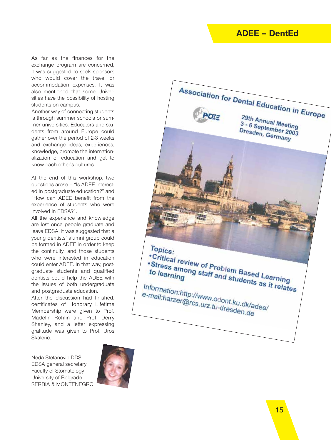### **ADEE – DentEd**

As far as the finances for the exchange program are concerned, it was suggested to seek sponsors who would cover the travel or accommodation expenses. It was also mentioned that some Universities have the possibility of hosting students on campus.

Another way of connecting students is through summer schools or summer universities. Educators and students from around Europe could gather over the period of 2-3 weeks and exchange ideas, experiences, knowledge, promote the internationalization of education and get to know each other's cultures.

At the end of this workshop, two questions arose – "Is ADEE interested in postgraduate education?" and "How can ADEE benefit from the experience of students who were involved in EDSA?".

All the experience and knowledge are lost once people graduate and leave EDSA. It was suggested that a young dentists' alumni group could be formed in ADEE in order to keep the continuity, and those students who were interested in education could enter ADEE. In that way, postgraduate students and qualified dentists could help the ADEE with the issues of both undergraduate and postgraduate education.

After the discussion had finished, certificates of Honorary Lifetime Membership were given to Prof. Madelin Rohlin and Prof. Derry Shanley, and a letter expressing gratitude was given to Prof. Uros Skaleric.

Neda Stefanovic DDS EDSA general secretary Faculty of Stomatology University of Belgrade SERBIA & MONTENEGRO



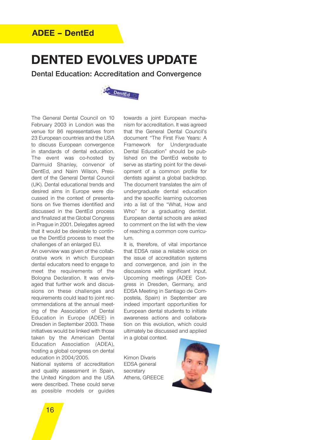### **ADEE – DentEd**

# **DENTED EVOLVES UPDATE**

**Dental Education: Accreditation and Convergence**



The General Dental Council on 10 February 2003 in London was the venue for 86 representatives from 23 European countries and the USA to discuss European convergence in standards of dental education. The event was co-hosted by Darmuid Shanley, convenor of DentEd, and Nairn Wilson, President of the General Dental Council (UK). Dental educational trends and desired aims in Europe were discussed in the context of presentations on five themes identified and discussed in the DentEd process and finalized at the Global Congress in Prague in 2001. Delegates agreed that it would be desirable to continue the DentEd process to meet the challenges of an enlarged EU.

An overview was given of the collaborative work in which European dental educators need to engage to meet the requirements of the Bologna Declaration. It was envisaged that further work and discussions on these challenges and requirements could lead to joint recommendations at the annual meeting of the Association of Dental Education in Europe (ADEE) in Dresden in September 2003. These initiatives would be linked with those taken by the American Dental Education Association (ADEA), hosting a global congress on dental education in 2004/2005.

National systems of accreditation and quality assessment in Spain, the United Kingdom and the USA were described. These could serve as possible models or guides towards a joint European mechanism for accreditation. It was agreed that the General Dental Council's document "The First Five Years: A Framework for Undergraduate Dental Education" should be published on the DentEd website to serve as starting point for the development of a common profile for dentists against a global backdrop. The document translates the aim of undergraduate dental education and the specific learning outcomes into a list of the "What, How and Who" for a graduating dentist. European dental schools are asked to comment on the list with the view of reaching a common core curriculum.

It is, therefore, of vital importance that EDSA raise a reliable voice on the issue of accreditation systems and convergence, and join in the discussions with significant input. Upcoming meetings (ADEE Congress in Dresden, Germany, and EDSA Meeting in Santiago de Compostela, Spain) in September are indeed important opportunities for European dental students to initiate awareness actions and collaboration on this evolution, which could ultimately be discussed and applied in a global context.

Kimon Divaris EDSA general secretary Athens, GREECE

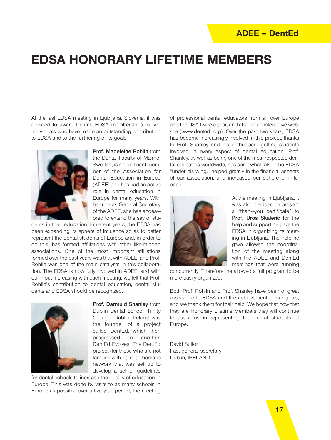# **EDSA HONORARY LIFETIME MEMBERS**

At the last EDSA meeting in Ljubljana, Slovenia, it was decided to award lifetime EDSA memberships to two individuals who have made an outstanding contribution to EDSA and to the furthering of its goals.



**Prof. Madeleine Rohlin** from the Dental Faculty of Malmö, Sweden, is a significant member of the Association for Dental Education in Europe (ADEE) and has had an active role in dental education in Europe for many years. With her role as General Secretary of the ADEE, she has endeavored to extend the say of stu-

dents in their education. In recent years, the EDSA has been expanding its sphere of influence so as to better represent the dental students of Europe and, in order to do this, has formed affiliations with other like-minded associations. One of the most important affiliations formed over the past years was that with ADEE, and Prof. Rohlin was one of the main catalysts in this collaboration. The EDSA is now fully involved in ADEE, and with our input increasing with each meeting, we felt that Prof. Rohlin's contribution to dental education, dental students and EDSA should be recognized.



**Prof. Darmuid Shanley** from Dublin Dental School, Trinity College, Dublin, Ireland was the founder of a project called DentEd, which then progressed to another, DentEd Evolves. The DentEd project (for those who are not familiar with it) is a thematic network that was set up to develop a set of guidelines

for dental schools to increase the quality of education in Europe. This was done by visits to as many schools in Europe as possible over a five year period, the meeting

of professional dental educators from all over Europe and the USA twice a year, and also on an interactive website (www.dented. org). Over the past two years, EDSA has become increasingly involved in this project, thanks to Prof. Shanley and his enthusiasm getting students involved in every aspect of dental education. Prof. Shanley, as well as being one of the most respected dental educators worldwide, has somewhat taken the EDSA "under his wing," helped greatly in the financial aspects of our association, and increased our sphere of influence.



At the meeting in Ljubljana, it was also decided to present a "thank-you certificate" to **Prof. Uros Skaleric** for the help and support he gave the EDSA in organizing its meeting in Ljubljana. The help he gave allowed the coordination of the meeting along with the ADEE and DentEd meetings that were running

concurrently. Therefore, he allowed a full program to be more easily organized.

Both Prof. Rohlin and Prof. Shanley have been of great assistance to EDSA and the achievement of our goals, and we thank them for their help. We hope that now that they are Honorary Lifetime Members they will continue to assist us in representing the dental students of Europe.

David Suitor Past general secretary Dublin, IRELAND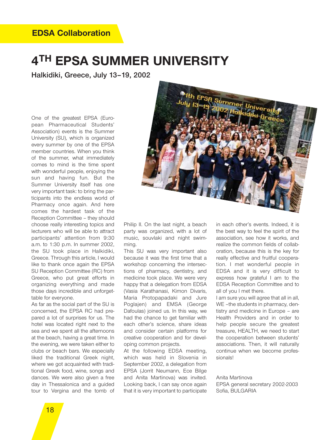# **4TH EPSA SUMMER UNIVERSITY**

**Halkidiki, Greece, July 13–19, 2002**

One of the greatest EPSA (European Pharmaceutical Students' Association) events is the Summer University (SU), which is organized every summer by one of the EPSA member countries. When you think of the summer, what immediately comes to mind is the time spent with wonderful people, enjoying the sun and having fun. But the Summer University itself has one very important task: to bring the participants into the endless world of Pharmacy once again. And here comes the hardest task of the Reception Committee – they should choose really interesting topics and lecturers who will be able to attract participants' attention from 9:30 a.m. to 1:30 p.m. In summer 2002, the SU took place in Halkidiki, Greece. Through this article, I would like to thank once again the EPSA SU Reception Committee (RC) from Greece, who put great efforts in organizing everything and made those days incredible and unforgettable for everyone.

As far as the social part of the SU is concerned, the EPSA RC had prepared a lot of surprises for us. The hotel was located right next to the sea and we spent all the afternoons at the beach, having a great time. In the evening, we were taken either to clubs or beach bars. We especially liked the traditional Greek night, where we got acquainted with traditional Greek food, wine, songs and dances. We were also given a free day in Thessalonica and a guided tour to Vergina and the tomb of



Philip II. On the last night, a beach party was organized, with a lot of music, souvlaki and night swimming.

This SU was very important also because it was the first time that a workshop concerning the intersections of pharmacy, dentistry, and medicine took place. We were very happy that a delegation from EDSA (Vasia Karathanasi, Kimon Divaris, Maria Protopapadaki and Jure Poglajen) and EMSA (George Dafoulas) joined us. In this way, we had the chance to get familiar with each other's science, share ideas and consider certain platforms for creative cooperation and for developing common projects.

At the following EDSA meeting, which was held in Slovenia in September 2002, a delegation from EPSA (Jorrit Neumann, Ece Bilge and Anita Martinova) was invited. Looking back, I can say once again that it is very important to participate in each other's events. Indeed, it is the best way to feel the spirit of the association, see how it works, and realize the common fields of collaboration, because this is the key for really effective and fruitful cooperation. I met wonderful people in EDSA and it is very difficult to express how grateful I am to the EDSA Reception Committee and to all of you I met there.

I am sure you will agree that all in all, WE -the students in pharmacy, dentistry and medicine in Europe – are Health Providers and in order to help people secure the greatest treasure, HEALTH, we need to start the cooperation between students' associations. Then, it will naturally continue when we become professionals!

#### Anita Martinova EPSA general secretary 2002-2003 Sofia, BULGARIA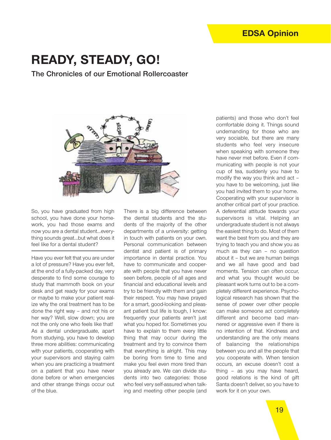# **READY, STEADY, GO!**

**The Chronicles of our Emotional Rollercoaster**



So, you have graduated from high school, you have done your homework, you had those exams and now you are a dental student…everything sounds great…but what does it feel like for a dental student?

Have you ever felt that you are under a lot of pressure? Have you ever felt, at the end of a fully-packed day, very desperate to find some courage to study that mammoth book on your desk and get ready for your exams or maybe to make your patient realize why the oral treatment has to be done the right way – and not his or her way? Well, slow down; you are not the only one who feels like that! As a dental undergraduate, apart from studying, you have to develop three more abilities: communicating with your patients, cooperating with your supervisors and staying calm when you are practicing a treatment on a patient that you have never done before or when emergencies and other strange things occur out of the blue.

There is a big difference between the dental students and the students of the majority of the other departments of a university: getting in touch with patients on your own. Personal communication between dentist and patient is of primary importance in dental practice. You have to communicate and cooperate with people that you have never seen before, people of all ages and financial and educational levels and try to be friendly with them and gain their respect. You may have prayed for a smart, good-looking and pleasant patient but life is tough, I know: frequently your patients aren't just what you hoped for. Sometimes you have to explain to them every little thing that may occur during the treatment and try to convince them that everything is alright. This may be boring from time to time and make you feel even more tired than you already are. We can divide students into two categories: those who feel very self-assured when talking and meeting other people (and patients) and those who don't feel comfortable doing it. Things sound undemanding for those who are very sociable, but there are many students who feel very insecure when speaking with someone they have never met before. Even if communicating with people is not your cup of tea, suddenly you have to modify the way you think and act – you have to be welcoming, just like you had invited them to your home. Cooperating with your supervisor is another critical part of your practice. A deferential attitude towards your supervisors is vital. Helping an undergraduate student is not always the easiest thing to do. Most of them want the best from you and they are trying to teach you and show you as much as they can – no question about it – but we are human beings and we all have good and bad moments. Tension can often occur, and what you thought would be pleasant work turns out to be a completely different experience. Psychological research has shown that the sense of power over other people can make someone act completely different and become bad mannered or aggressive even if there is no intention of that. Kindness and understanding are the only means of balancing the relationships between you and all the people that you cooperate with. When tension occurs, an excuse doesn't cost a thing – as you may have heard, good relations is the kind of gift Santa doesn't deliver, so you have to work for it on your own.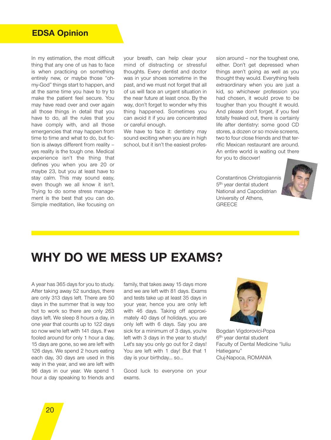In my estimation, the most difficult thing that any one of us has to face is when practicing on something entirely new, or maybe those "ohmy-God" things start to happen, and at the same time you have to try to make the patient feel secure. You may have read over and over again all those things in detail that you have to do, all the rules that you have comply with, and all those emergencies that may happen from time to time and what to do, but fiction is always different from reality – yes reality is the tough one. Medical experience isn't the thing that defines you when you are 20 or maybe 23, but you at least have to stay calm. This may sound easy, even though we all know it isn't. Trying to do some stress management is the best that you can do. Simple meditation, like focusing on your breath, can help clear your mind of distracting or stressful thoughts. Every dentist and doctor was in your shoes sometime in the past, and we must not forget that all of us will face an urgent situation in the near future at least once. By the way, don't forget to wonder why this thing happened. Sometimes you can avoid it if you are concentrated or careful enough.

We have to face it: dentistry may sound exciting when you are in high school, but it isn't the easiest profession around – nor the toughest one, either. Don't get depressed when things aren't going as well as you thought they would. Everything feels extraordinary when you are just a kid, so whichever profession you had chosen, it would prove to be tougher than you thought it would. And please don't forget, if you feel totally freaked out, there is certainly life after dentistry: some good CD stores, a dozen or so movie screens, two to four close friends and that terrific Mexican restaurant are around. An entire world is waiting out there for you to discover!

Constantinos Christogiannis 5<sup>th</sup> year dental student National and Capodistrian University of Athens, **GREECE** 



# **WHY DO WE MESS UP EXAMS?**

A year has 365 days for you to study. After taking away 52 sundays, there are only 313 days left. There are 50 days in the summer that is way too hot to work so there are only 263 days left. We sleep 8 hours a day, in one year that counts up to 122 days so now we're left with 141 days. If we fooled around for only 1 hour a day, 15 days are gone, so we are left with 126 days. We spend 2 hours eating each day, 30 days are used in this way in the year, and we are left with 96 days in our year. We spend 1 hour a day speaking to friends and family, that takes away 15 days more and we are left with 81 days. Exams and tests take up at least 35 days in your year, hence you are only left with 46 days. Taking off approximately 40 days of holidays, you are only left with 6 days. Say you are sick for a minimum of 3 days, you're left with 3 days in the year to study! Let's say you only go out for 2 days! You are left with 1 day! But that 1 day is your birthday... so...

Good luck to everyone on your exams.



Bogdan Vigdorovici-Popa 6th year dental student Faculty of Dental Medicine "Iuliu Hatieganu" Cluj-Napoca, ROMANIA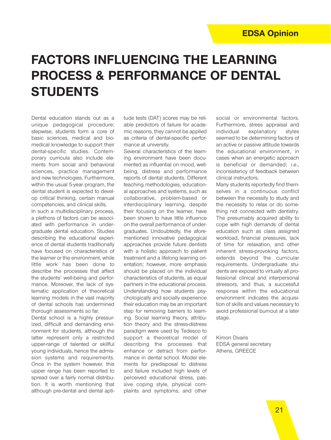# **FACTORS INFLUENCING THE LEARNING PROCESS & PERFORMANCE OF DENTAL STUDENTS**

Dental education stands out as a unique pedagogical procedure; stepwise, students form a core of basic sciences, medical and biomedical knowledge to support their dental-specific studies. Contemporary curricula also include elements from social and behavioral sciences, practice management and new technologies. Furthermore, within the usual 5-year program, the dental student is expected to develop critical thinking, certain manual competencies, and clinical skills.

In such a multidisciplinary process, a plethora of factors can be associated with performance in undergraduate dental education. Studies describing the educational experience of dental students traditionally have focused on characteristics of the learner or the environment, while little work has been done to describe the processes that affect the students' well-being and performance. Moreover, the lack of systematic application of theoretical learning models in the vast majority of dental schools has undermined thorough assessments so far.

Dental school is a highly pressurized, difficult and demanding environment for students, although the latter represent only a restricted upper-range of talented or skillful young individuals, hence the admission systems and requirements. Once in the system however, this upper range has been reported to spread over a fairly normal distribution. It is worth mentioning that although pre-dental and dental aptitude tests (DAT) scores may be reliable predictors of failure for academic reasons, they cannot be applied as criteria of dental-specific performance at university.

Several characteristics of the learning environment have been documented as influential on mood, wellbeing, distress and performance reports of dental students. Different teaching methodologies, educational approaches and systems, such as collaborative, problem-based or interdisciplinary learning, despite their focusing on the learner, have been shown to have little influence on the overall performance of undergraduates. Undoubtedly, the aforementioned innovative pedagogical approaches provide future dentists with a holistic approach to patient treatment and a lifelong learning orientation; however, more emphasis should be placed on the individual characteristics of students, as equal partners in the educational process. Understanding how students psychologically and socially experience their education may be an important step for removing barriers to learning. Social learning theory, attribution theory and the stress-distress paradigm were used by Tedesco to support a theoretical model of describing the processes that enhance or detract from performance in dental school. Model elements for predisposal to distress and failure included high levels of perceived educational stress, passive coping style, physical complaints and symptoms, and other

social or environmental factors. Furthermore, stress appraisal and individual explanatory styles seemed to be determining factors of an active or passive attitude towards the educational environment, in cases when an energetic approach is beneficial or demanded; i.e., inconsistency of feedback between clinical instructors.

Many students reportedly find themselves in a continuous conflict between the necessity to study and the necessity to relax or do something not connected with dentistry. The presumably acquired ability to cope with high demands of dental education such as class assigned workload, financial pressures, lack of time for relaxation, and other inherent stress-provoking factors, extends beyond the curricular requirements. Undergraduate students are exposed to virtually all professional clinical and interpersonal stressors, and thus, a successful response within the educational environment indicates the acquisition of skills and values necessary to avoid professional burnout at a later stage.

Kimon Divaris EDSA general secretary Athens, GREECE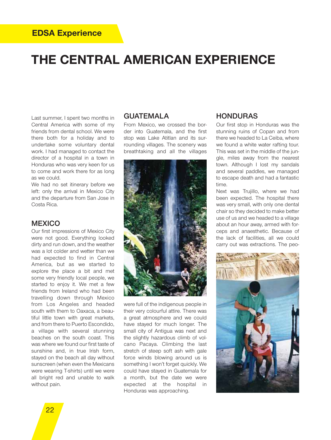# **THE CENTRAL AMERICAN EXPERIENCE**

Last summer, I spent two months in Central America with some of my friends from dental school. We were there both for a holiday and to undertake some voluntary dental work. I had managed to contact the director of a hospital in a town in Honduras who was very keen for us to come and work there for as long as we could.

We had no set itinerary before we left: only the arrival in Mexico City and the departure from San Jose in Costa Rica.

#### **MEXICO**

Our first impressions of Mexico City were not good. Everything looked dirty and run down, and the weather was a lot colder and wetter than we had expected to find in Central America, but as we started to explore the place a bit and met some very friendly local people, we started to enjoy it. We met a few friends from Ireland who had been travelling down through Mexico from Los Angeles and headed south with them to Oaxaca, a beautiful little town with great markets, and from there to Puerto Escondido, a village with several stunning beaches on the south coast. This was where we found our first taste of sunshine and, in true Irish form, stayed on the beach all day without sunscreen (when even the Mexicans were wearing T-shirts) until we were all bright red and unable to walk without pain.

### **GUATEMALA**

From Mexico, we crossed the border into Guatemala, and the first stop was Lake Atitlan and its surrounding villages. The scenery was breathtaking and all the villages



were full of the indigenous people in their very colourful attire. There was a great atmosphere and we could have stayed for much longer. The small city of Antigua was next and the slightly hazardous climb of volcano Pacaya. Climbing the last stretch of steep soft ash with gale force winds blowing around us is something I won't forget quickly. We could have stayed in Guatemala for a month, but the date we were expected at the hospital in Honduras was approaching.

### **HONDURAS**

Our first stop in Honduras was the stunning ruins of Copan and from there we headed to La Ceiba, where we found a white water rafting tour. This was set in the middle of the jungle, miles away from the nearest town. Although I lost my sandals and several paddles, we managed to escape death and had a fantastic time.

Next was Trujillo, where we had been expected. The hospital there was very small, with only one dental chair so they decided to make better use of us and we headed to a village about an hour away, armed with forceps and anaesthetic. Because of the lack of facilities, all we could carry out was extractions. The peo-

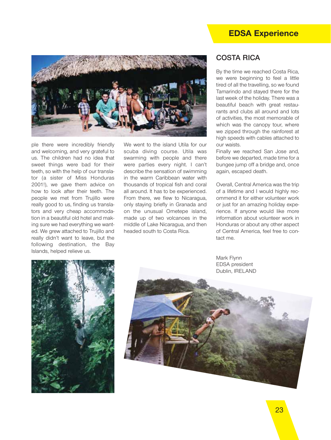ple there were incredibly friendly and welcoming, and very grateful to us. The children had no idea that sweet things were bad for their teeth, so with the help of our translator (a sister of Miss Honduras 2001!), we gave them advice on how to look after their teeth. The people we met from Trujillo were really good to us, finding us translators and very cheap accommodation in a beautiful old hotel and making sure we had everything we wanted. We grew attached to Trujillo and really didn't want to leave, but the following destination, the Bay Islands, helped relieve us.

We went to the island Utila for our scuba diving course. Utila was swarming with people and there were parties every night. I can't describe the sensation of swimming in the warm Caribbean water with thousands of tropical fish and coral all around. It has to be experienced. From there, we flew to Nicaragua, only staying briefly in Granada and on the unusual Ometepe island, made up of two volcanoes in the middle of Lake Nicaragua, and then headed south to Costa Rica.

### **COSTA RICA**

By the time we reached Costa Rica, we were beginning to feel a little tired of all the travelling, so we found Tamarindo and stayed there for the last week of the holiday. There was a beautiful beach with great restaurants and clubs all around and lots of activities, the most memorable of which was the canopy tour, where we zipped through the rainforest at high speeds with cables attached to our waists.

**EDSA Experience**

Finally we reached San Jose and, before we departed, made time for a bungee jump off a bridge and, once again, escaped death.

Overall, Central America was the trip of a lifetime and I would highly recommend it for either volunteer work or just for an amazing holiday experience. If anyone would like more information about volunteer work in Honduras or about any other aspect of Central America, feel free to contact me.

Mark Flynn EDSA president Dublin, IRELAND



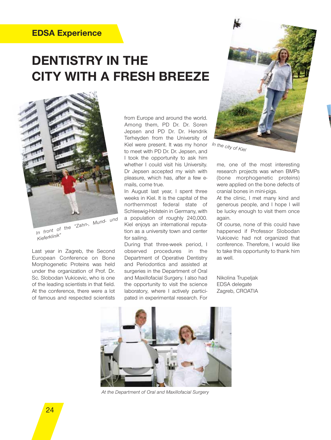### **EDSA Experience**

# **DENTISTRY IN THE CITY WITH A FRESH BREEZE**



Last year in Zagreb, the Second European Conference on Bone Morphogenetic Proteins was held under the organization of Prof. Dr. Sc. Slobodan Vukicevic, who is one of the leading scientists in that field. At the conference, there were a lot of famous and respected scientists

from Europe and around the world. Among them, PD Dr. Dr. Soren Jepsen and PD Dr. Dr. Hendrik Terheyden from the University of Kiel were present. It was my honor to meet with PD Dr. Dr. Jepsen, and I took the opportunity to ask him whether I could visit his University. Dr Jepsen accepted my wish with pleasure, which has, after a few emails, come true.

In August last year, I spent three weeks in Kiel. It is the capital of the northernmost federal state of Schleswig-Holstein in Germany, with a population of roughly 240,000. Kiel enjoys an international reputation as a university town and center for sailing.

During that three-week period, I observed procedures in the Department of Operative Dentistry and Periodontics and assisted at surgeries in the Department of Oral and Maxillofacial Surgery. I also had the opportunity to visit the science laboratory, where I actively participated in experimental research. For



me, one of the most interesting research projects was when BMPs (bone morphogenetic proteins) were applied on the bone defects of cranial bones in mini-pigs.

At the clinic, I met many kind and generous people, and I hope I will be lucky enough to visit them once again.

Of course, none of this could have happened if Professor Slobodan Vukicevic had not organized that conference. Therefore, I would like to take this opportunity to thank him as well.

Nikolina Trupeljak EDSA delegate Zagreb, CROATIA



*At the Department of Oral and Maxillofacial Surgery*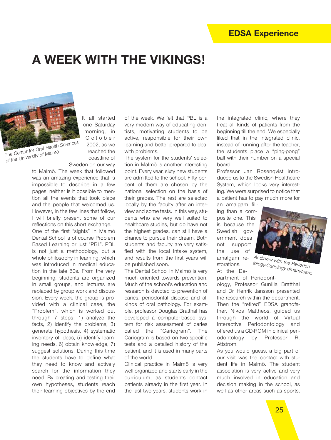# **A WEEK WITH THE VIKINGS!**



It all started one Saturday morning, in October 2002, as we reached the

*The Center for Oral Health Sciences of the University of Malmö*

coastline of Sweden on our way

to Malmö. The week that followed was an amazing experience that is impossible to describe in a few pages, neither is it possible to mention all the events that took place and the people that welcomed us. However, in the few lines that follow, I will briefly present some of our reflections on this short exchange. One of the first "sights" in Malmö Dental School is of course Problem Based Learning or just "PBL". PBL is not just a methodology, but a whole philosophy in learning, which was introduced in medical education in the late 60s. From the very beginning, students are organized in small groups, and lectures are replaced by group work and discussion. Every week, the group is provided with a clinical case, the "Problem", which is worked out through 7 steps: 1) analyze the facts, 2) identify the problems, 3) generate hypothesis, 4) systematic inventory of ideas, 5) identify learning needs, 6) obtain knowledge, 7) suggest solutions. During this time the students have to define what they need to know and actively search for the information they need. By creating and testing their own hypotheses, students reach their learning objectives by the end of the week. We felt that PBL is a very modern way of educating dentists, motivating students to be active, responsible for their own learning and better prepared to deal with problems.

The system for the students' selection in Malmö is another interesting point. Every year, sixty new students are admitted to the school. Fifty percent of them are chosen by the national selection on the basis of their grades. The rest are selected locally by the faculty after an interview and some tests. In this way, students who are very well suited to healthcare studies, but do have not the highest grades, can still have a chance to pursue their dream. Both students and faculty are very satisfied with the local intake system, and results from the first years will be published soon.

The Dental School in Malmö is very much oriented towards prevention. Much of the school's education and research is devoted to prevention of caries, periodontal disease and all kinds of oral pathology. For example, professor Douglas Bratthal has developed a computer-based system for risk assessment of caries called the "Cariogram". The Cariogram is based on two specific tests and a detailed history of the patient, and it is used in many parts of the world.

Clinical practice in Malmö is very well organized and starts early in the curriculum, as students contact patients already in the first year. In the last two years, students work in

the integrated clinic, where they treat all kinds of patients from the beginning till the end. We especially liked that in the integrated clinic, instead of running after the teacher, the students place a "ping-pong" ball with their number on a special board.

Professor Jan Rosenqvist introduced us to the Swedish Healthcare System, which looks very interesting. We were surprised to notice that a patient has to pay much more for an amalgam fill-

ing than a composite one. This is because the Swedish government does not support the use of amalgam re-

storations. At the De-



*At dinner with the Periodontology-Cariology dream-team.*

partment of Periodontology, Professor Gunilla Bratthal and Dr Henrik Jansson presented the research within the department. Then the "retired" EDSA grandfather, Nikos Mattheos, guided us through the world of Virtual Interactive Periodontology and offered us a CD-ROM in clinical periodontology by Professor R. Attstrom.

As you would guess, a big part of our visit was the contact with student life in Malmö. The student association is very active and very much involved in education and decision making in the school, as well as other areas such as sports,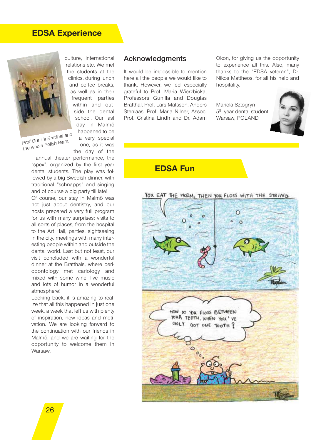### **EDSA Experience**



culture, international relations etc. We met the students at the clinics, during lunch and coffee breaks, as well as in their frequent parties within and outside the dental school. Our last day in Malmö happened to be a very special

*Prof Gunilla Bratthal and the whole Polish team.*

one, as it was the day of the

annual theater performance, the "spex", organized by the first year dental students. The play was followed by a big Swedish dinner, with traditional "schnapps" and singing and of course a big party till late!

Of course, our stay in Malmö was not just about dentistry, and our hosts prepared a very full program for us with many surprises: visits to all sorts of places, from the hospital to the Art Hall, parties, sightseeing in the city, meetings with many interesting people within and outside the dental world. Last but not least, our visit concluded with a wonderful dinner at the Bratthals, where periodontology met cariology and mixed with some wine, live music and lots of humor in a wonderful atmosphere!

Looking back, it is amazing to realize that all this happened in just one week, a week that left us with plenty of inspiration, new ideas and motivation. We are looking forward to the continuation with our friends in Malmö, and we are waiting for the opportunity to welcome them in Warsaw.

#### **Acknowledgments**

It would be impossible to mention here all the people we would like to thank. However, we feel especially grateful to Prof. Maria Wierzbicka, Professors Gunilla and Douglas Bratthal, Prof. Lars Matsson, Anders Stenlaas, Prof. Maria Nilner, Assoc. Prof. Cristina Lindh and Dr. Adam

Okon, for giving us the opportunity to experience all this. Also, many thanks to the "EDSA veteran", Dr. Nikos Mattheos, for all his help and hospitality.

Mariola Sztogryn 5<sup>th</sup> year dental student Warsaw, POLAND



## **EDSA Fun**

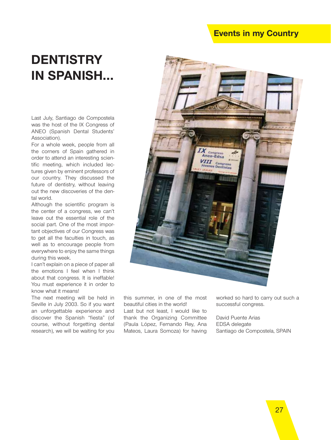### **Events in my Country**

# **DENTISTRY IN SPANISH…**

Last July, Santiago de Compostela was the host of the IX Congress of ANEO (Spanish Dental Students' Association).

For a whole week, people from all the corners of Spain gathered in order to attend an interesting scientific meeting, which included lectures given by eminent professors of our country. They discussed the future of dentistry, without leaving out the new discoveries of the dental world.

Although the scientific program is the center of a congress, we can't leave out the essential role of the social part. One of the most important objectives of our Congress was to get all the faculties in touch, as well as to encourage people from everywhere to enjoy the same things during this week.

I can't explain on a piece of paper all the emotions I feel when I think about that congress. It is ineffable! You must experience it in order to know what it means!

The next meeting will be held in Seville in July 2003. So if you want an unforgettable experience and discover the Spanish "fiesta" (of course, without forgetting dental research), we will be waiting for you



this summer, in one of the most beautiful cities in the world! Last but not least, I would like to thank the Organizing Committee (Paula López, Fernando Rey, Ana Mateos, Laura Somoza) for having worked so hard to carry out such a successful congress.

David Puente Arias EDSA delegate Santiago de Compostela, SPAIN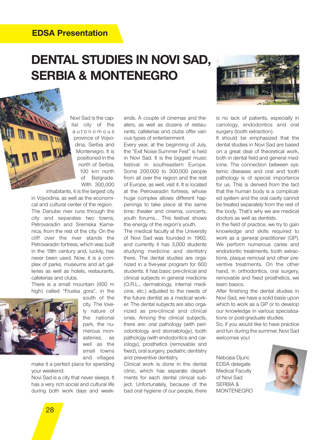### **EDSA Presentation**

# **DENTAL STUDIES IN NOVI SAD, SERBIA & MONTENEGRO**



Novi Sad is the capital city of the autonomous province of Vojvodina, Serbia and Montenegro. It is positioned in the north of Serbia, 100 km north of Belgrade. With 300,000

inhabitants, it is the largest city in Vojvodina, as well as the economical and cultural center of the region. The Danube river runs through the city and separates two towns, Petrovaradin and Sremska Kamenica, from the rest of the city. On the cliff over the river stands the Petrovaradin fortress, which was built in the 18th century and, luckily, has never been used. Now, it is a complex of parks, museums and art galleries as well as hotels, restaurants, cafeterias and clubs.

There is a small mountain (600 m high) called "Fruska gora", in the



south of the city. The lovely nature of the national park, the numerous monasteries, as well as the small towns and villages

make it a perfect place for spending your weekend.

Novi Sad is a city that never sleeps. It has a very rich social and cultural life during both work days and weekends. A couple of cinemas and theaters, as well as dozens of restaurants, cafeterias and clubs offer various types of entertainment.

Every year, at the beginning of July, the "Exit Noise Summer Fest" is held in Novi Sad. It is the biggest music festival in southeastern Europe. Some 200,000 to 300,000 people from all over the region and the rest of Europe, as well, visit it. It is located at the Petrovaradin fortress, whose huge complex allows different happenings to take place at the same time: theater and cinema, concerts, youth forums… This festival shows the energy of the region's youth.

The medical faculty at the University of Novi Sad was founded in 1960, and currently it has 3,000 students studying medicine and dentistry there. The dental studies are organized in a five-year program for 600 students. It has basic pre-clinical and clinical subjects in general medicine (O.R.L., dermatology, internal medicine, etc.) adjusted to the needs of the future dentist as a medical worker. The dental subjects are also organized as pre-clinical and clinical ones. Among the clinical subjects, there are: oral pathology (with periodontology and stomatology), tooth pathology (with endodontics and cariology), prosthetics (removable and fixed), oral surgery, pediatric dentistry and preventive dentistry.

Clinical work is done in the dental clinic, which has separate departments for each dental clinical subject. Unfortunately, because of the bad oral hygiene of our people, there



is no lack of patients, especially in cariology, endodontics and oral surgery (tooth extraction).

It should be emphasized that the dental studies in Novi Sad are based on a great deal of theoretical work, both in dental field and general medicine. The connection between systemic diseases and oral and tooth pathology is of special importance for us. This is derived from the fact that the human body is a complicated system and the oral cavity cannot be treated separately from the rest of the body. That's why we are medical doctors as well as dentists.

In the field of practice, we try to gain knowledge and skills required to work as a general practitioner (GP). We perform numerous caries and endodontic treatments, tooth extractions, plaque removal and other preventive treatments. On the other hand, in orthodontics, oral surgery, removable and fixed prosthetics, we learn basics.

After finishing the dental studies in Novi Sad, we have a solid basis upon which to work as a GP or to develop our knowledge in various specializations or post-graduate studies.

So, if you would like to have practice and fun during the summer, Novi Sad welcomes you!

Nebojsa Djuric EDSA delegate Medical Faculty of Novi Sad SERBIA & MONTENEGRO

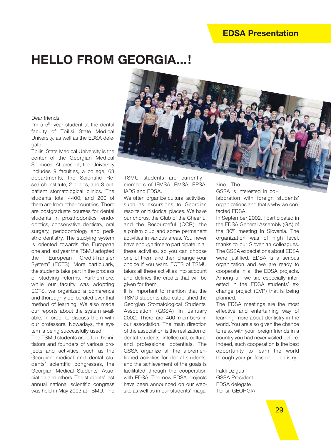# **HELLO FROM GEORGIA…!**

#### Dear friends,

I'm a 5<sup>th</sup> year student at the dental faculty of Tbilisi State Medical University, as well as the EDSA delegate.

Tbilisi State Medical University is the center of the Georgian Medical Sciences. At present, the University includes 9 faculties, a college, 63 departments, the Scientific Research Institute, 2 clinics, and 3 outpatient stomatological clinics. The students total 4400, and 200 of them are from other countries. There are postgraduate courses for dental students in prosthodontics, endodontics, conservative dentistry, oral surgery, periodontology and pediatric dentistry. The studying system is oriented towards the European one and last year the TSMU adopted the "European Credit-Transfer System" (ECTS). More particularly, the students take part in the process of studying reforms. Furthermore, while our faculty was adopting ECTS, we organized a conference and thoroughly deliberated over that method of learning. We also made our reports about the system available, in order to discuss them with our professors. Nowadays, the system is being successfully used.

The TSMU students are often the initiators and founders of various projects and activities, such as the Georgian medical and dental students' scientific congresses, the Georgian Medical Students' Association and others. The students' last annual national scientific congress was held in May 2003 at TSMU. The



We often organize cultural activities, such as excursions to Georgian resorts or historical places. We have our chorus, the Club of the Cheerful and the Resourceful (CCR), the alpinism club and some permanent activities in various areas. You never have enough time to participate in all these activities, so you can choose one of them and then change your choice if you want. ECTS of TSMU takes all these activities into account and defines the credits that will be given for them.

It is important to mention that the TSMU students also established the Georgian Stomatological Students' Association (GSSA) in January 2002. There are 400 members in our association. The main direction of the association is the realization of dental students' intellectual, cultural and professional potentials. The GSSA organize all the aforementioned activities for dental students, and the achievement of the goals is facilitated through the cooperation with EDSA. The new EDSA projects have been announced on our website as well as in our students' magazine. The

GSSA is interested in collaboration with foreign students' organizations and that's why we contacted EDSA.

In September 2002, I participated in the EDSA General Assembly (GA) of the 30th meeting in Slovenia. The organization was of high level, thanks to our Slovenian colleagues. The GSSA expectations about EDSA were justified. EDSA is a serious organization and we are ready to cooperate in all the EDSA projects. Among all, we are especially interested in the EDSA students' exchange project (EVP) that is being planned.

The EDSA meetings are the most effective and entertaining way of learning more about dentistry in the world. You are also given the chance to relax with your foreign friends in a country you had never visited before. Indeed, such cooperation is the best opportunity to learn the world through your profession – dentistry.

Irakli Dzigua GSSA President EDSA delegate Tbilisi, GEORGIA